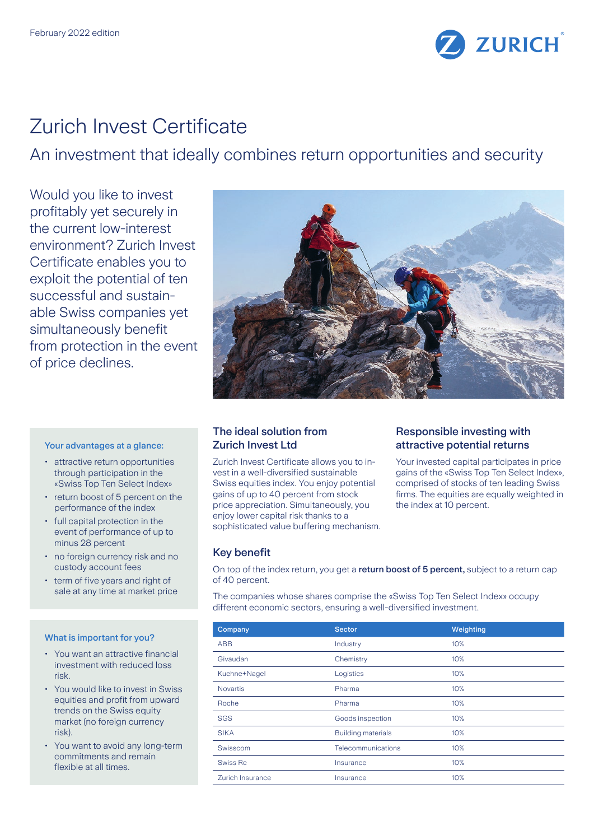

# Zurich Invest Certificate

An investment that ideally combines return opportunities and security

Would you like to invest profitably yet securely in the current low-interest environment? Zurich Invest Certificate enables you to exploit the potential of ten successful and sustainable Swiss companies yet simultaneously benefit from protection in the event of price declines.

## Your advantages at a glance:

- attractive return opportunities through participation in the «Swiss Top Ten Select Index»
- return boost of 5 percent on the performance of the index
- full capital protection in the event of performance of up to minus 28 percent
- no foreign currency risk and no custody account fees
- term of five years and right of sale at any time at market price

#### What is important for you?

- You want an attractive financial investment with reduced loss risk.
- You would like to invest in Swiss equities and profit from upward trends on the Swiss equity market (no foreign currency risk).
- You want to avoid any long-term commitments and remain flexible at all times.



## The ideal solution from Zurich Invest Ltd

Zurich Invest Certificate allows you to invest in a well-diversified sustainable Swiss equities index. You enjoy potential gains of up to 40 percent from stock price appreciation. Simultaneously, you enjoy lower capital risk thanks to a sophisticated value buffering mechanism.

## Responsible investing with attractive potential returns

Your invested capital participates in price gains of the «Swiss Top Ten Select Index», comprised of stocks of ten leading Swiss firms. The equities are equally weighted in the index at 10 percent.

## Key benefit

On top of the index return, you get a return boost of 5 percent, subject to a return cap of 40 percent.

The companies whose shares comprise the «Swiss Top Ten Select Index» occupy different economic sectors, ensuring a well-diversified investment.

| Company          | <b>Sector</b>             | Weighting |
|------------------|---------------------------|-----------|
| <b>ABB</b>       | Industry                  | 10%       |
| Givaudan         | Chemistry                 | 10%       |
| Kuehne+Nagel     | Logistics                 | 10%       |
| <b>Novartis</b>  | Pharma                    | 10%       |
| Roche            | Pharma                    | 10%       |
| <b>SGS</b>       | Goods inspection          | 10%       |
| <b>SIKA</b>      | <b>Building materials</b> | 10%       |
| Swisscom         | Telecommunications        | 10%       |
| Swiss Re         | Insurance                 | 10%       |
| Zurich Insurance | Insurance                 | 10%       |